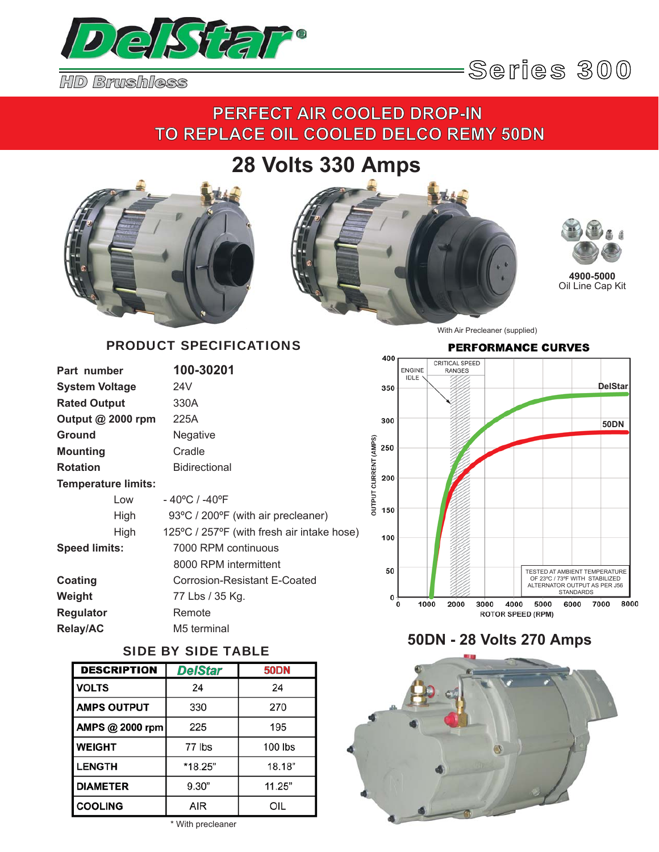



## **PERFECT AIR COOLED DROP-IN TO REPLACE OIL COOLED DELCO REMY 50DN**

# **28 Volts 330 Amps**







**4900-5000** Oil Line Cap Kit

### PRODUCT SPECIFICATIONS

| Part number                |      | 100-30201                                  |
|----------------------------|------|--------------------------------------------|
| <b>System Voltage</b>      |      | 24V                                        |
| <b>Rated Output</b>        |      | 330A                                       |
| Output $@$ 2000 rpm        |      | 225A                                       |
| <b>Ground</b>              |      | Negative                                   |
| <b>Mounting</b>            |      | Cradle                                     |
| <b>Rotation</b>            |      | <b>Bidirectional</b>                       |
| <b>Temperature limits:</b> |      |                                            |
|                            | Low  | - 40°C / -40°F                             |
|                            | High | 93°C / 200°F (with air precleaner)         |
|                            | High | 125°C / 257°F (with fresh air intake hose) |
| <b>Speed limits:</b>       |      | 7000 RPM continuous                        |
|                            |      | 8000 RPM intermittent                      |
| <b>Coating</b>             |      | Corrosion-Resistant E-Coated               |
| Weight                     |      | 77 Lbs / 35 Kg.                            |
| <b>Regulator</b>           |      | Remote                                     |
| <b>Relay/AC</b>            |      | M5 terminal                                |

### SIDE BY SIDE TABLE

| <b>DESCRIPTION</b> | <b>DelStar</b> | <b>50DN</b> |
|--------------------|----------------|-------------|
| <b>VOLTS</b>       | 24             | 24          |
| <b>AMPS OUTPUT</b> | 330            | 270         |
| AMPS @ 2000 rpm    | 225            | 195         |
| <b>WEIGHT</b>      | 77 lbs         | 100 lbs     |
| <b>LENGTH</b>      | *18.25"        | 18.18"      |
| <b>DIAMETER</b>    | 9.30"          | 11.25"      |
| <b>COOLING</b>     | AIR            | OIL         |

\* With precleaner

#### With Air Precleaner (supplied)

#### **PERFORMANCE CURVES**



### **50DN - 28 Volts 270 Amps**